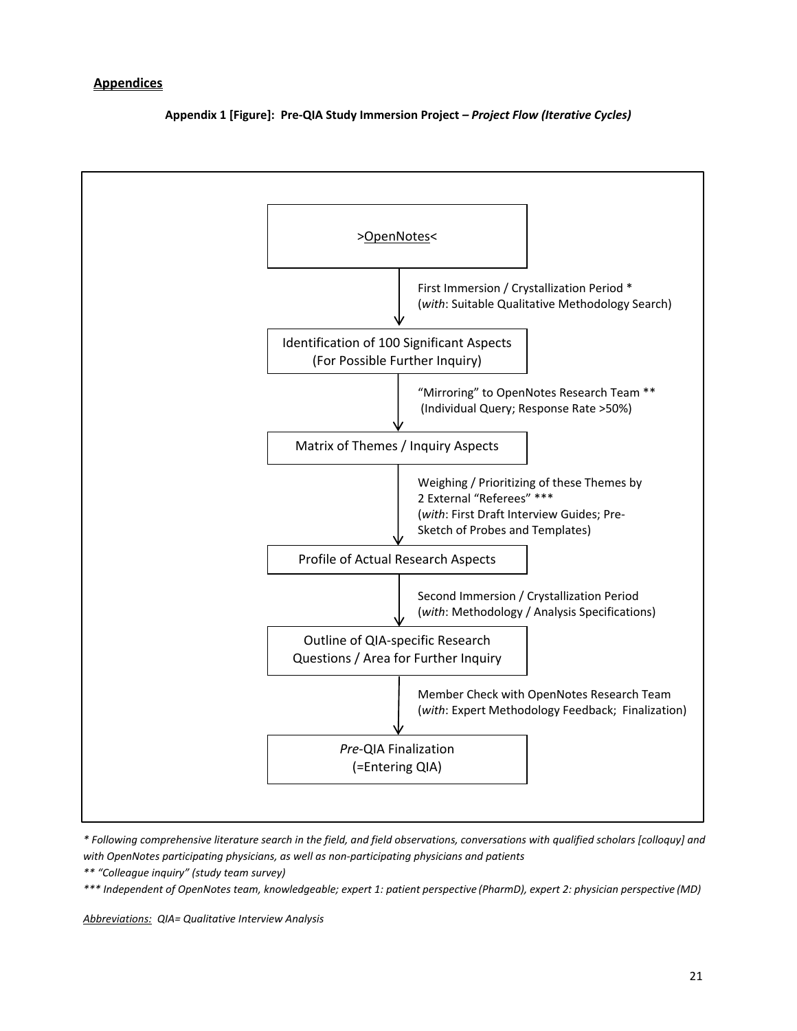### **Appendices**

**Appendix 1 [Figure]: Pre-QIA Study Immersion Project** *– Project Flow (Iterative Cycles)*



*\* Following comprehensive literature search in the field, and field observations, conversations with qualified scholars [colloquy] and with OpenNotes participating physicians, as well as non-participating physicians and patients*

*\*\* "Colleague inquiry" (study team survey)*

*\*\*\* Independent of OpenNotes team, knowledgeable; expert 1: patient perspective (PharmD), expert 2: physician perspective (MD)*

*Abbreviations: QIA= Qualitative Interview Analysis*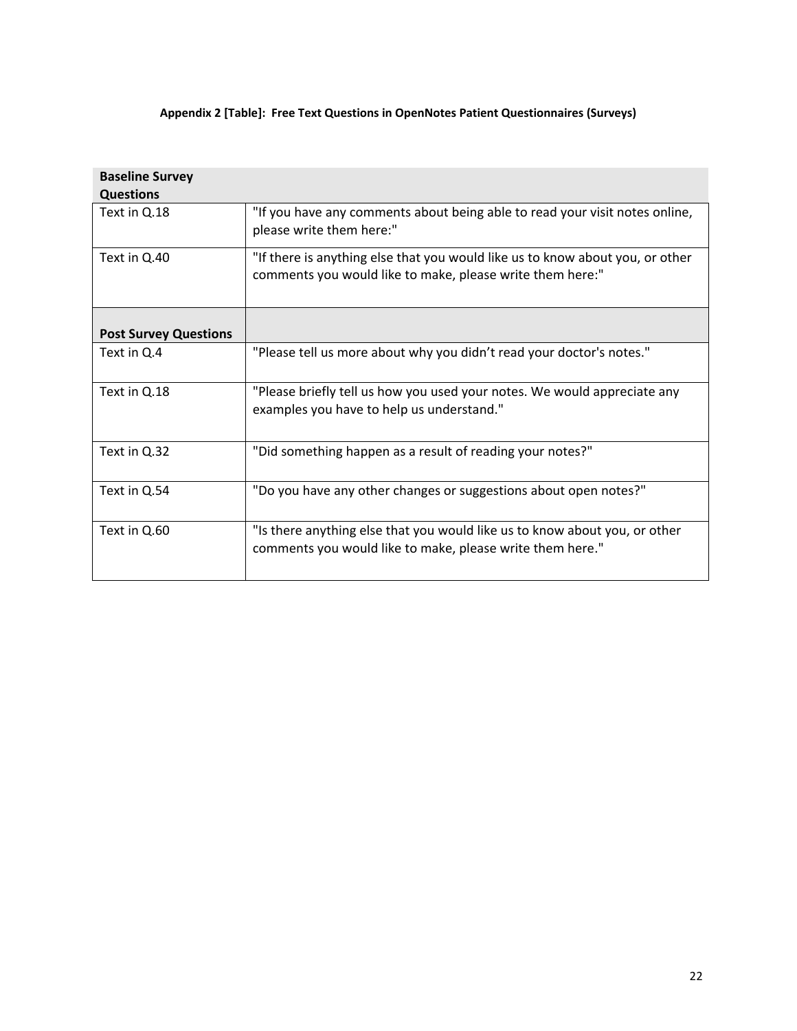# **Appendix 2 [Table]: Free Text Questions in OpenNotes Patient Questionnaires (Surveys)**

| <b>Baseline Survey</b>       |                                                                                                                                            |
|------------------------------|--------------------------------------------------------------------------------------------------------------------------------------------|
| <b>Questions</b>             |                                                                                                                                            |
| Text in Q.18                 | "If you have any comments about being able to read your visit notes online,<br>please write them here:"                                    |
| Text in Q.40                 | "If there is anything else that you would like us to know about you, or other<br>comments you would like to make, please write them here:" |
| <b>Post Survey Questions</b> |                                                                                                                                            |
| Text in Q.4                  | "Please tell us more about why you didn't read your doctor's notes."                                                                       |
| Text in Q.18                 | "Please briefly tell us how you used your notes. We would appreciate any<br>examples you have to help us understand."                      |
| Text in Q.32                 | "Did something happen as a result of reading your notes?"                                                                                  |
| Text in Q.54                 | "Do you have any other changes or suggestions about open notes?"                                                                           |
| Text in Q.60                 | "Is there anything else that you would like us to know about you, or other<br>comments you would like to make, please write them here."    |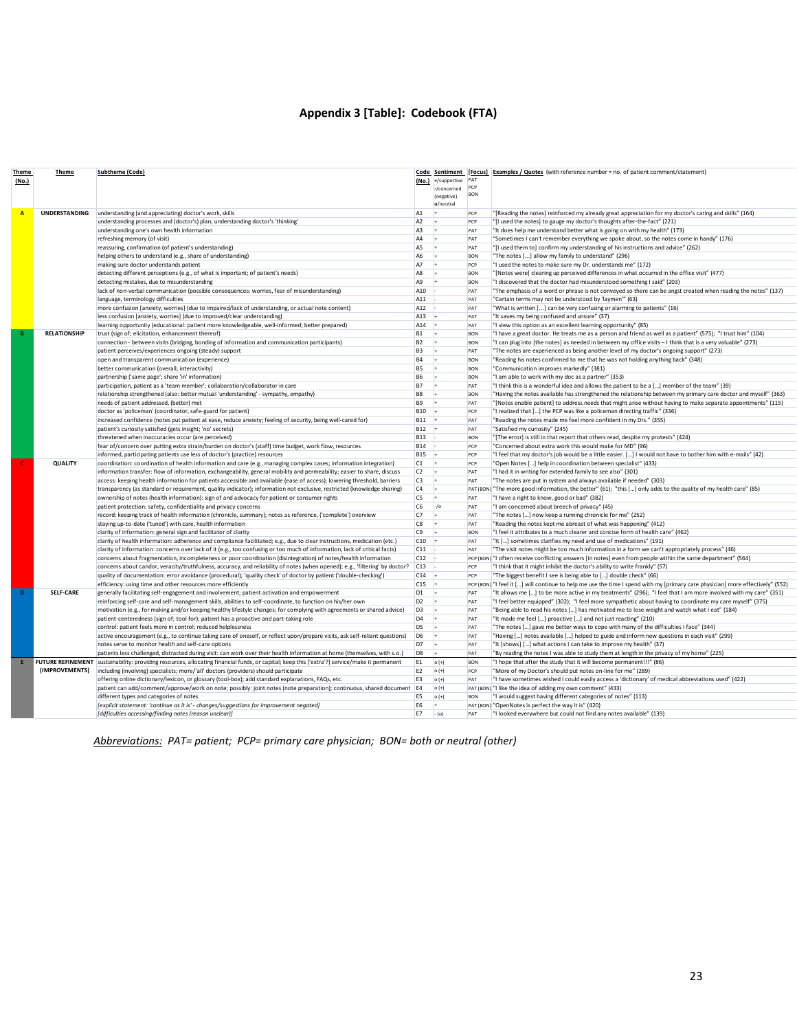# **Appendix 3 [Table]: Codebook (FTA)**

| Theme          | Theme               | <b>Subtheme (Code)</b>                                                                                                                                                                                   |                                  | Code Sentiment                  |                   | [Focus] Examples / Quotes (with reference number = no. of patient comment/statement)                                                                                                                                        |
|----------------|---------------------|----------------------------------------------------------------------------------------------------------------------------------------------------------------------------------------------------------|----------------------------------|---------------------------------|-------------------|-----------------------------------------------------------------------------------------------------------------------------------------------------------------------------------------------------------------------------|
| (No.)          |                     |                                                                                                                                                                                                          |                                  | (No.) +/supportive              | PCP               |                                                                                                                                                                                                                             |
|                |                     |                                                                                                                                                                                                          |                                  | -/concerned<br>(negative)       | <b>BON</b>        |                                                                                                                                                                                                                             |
|                |                     |                                                                                                                                                                                                          |                                  | o/neutral                       |                   |                                                                                                                                                                                                                             |
| $\overline{A}$ | UNDERSTANDING       | understanding (and appreciating) doctor's work, skills                                                                                                                                                   | A <sub>1</sub>                   | l÷.                             | PCP               | "[Reading the notes] reinforced my already great appreciation for my doctor's caring and skills" (164)                                                                                                                      |
|                |                     | understanding processes and (doctor's) plan; understanding doctor's 'thinking'                                                                                                                           | A <sub>2</sub>                   |                                 | PCP               | "[I used the notes] to gauge my doctor's thoughts after-the-fact" (221)                                                                                                                                                     |
|                |                     | understanding one's own health information                                                                                                                                                               | A <sub>3</sub>                   | l÷.                             | PAT               | "It does help me understand better what is going on with my health" (173)                                                                                                                                                   |
|                |                     | refreshing memory (of visit)                                                                                                                                                                             | A <sub>4</sub>                   | l÷.                             | PAT               | "Sometimes I can't remember everything we spoke about, so the notes come in handy" (176)                                                                                                                                    |
|                |                     | reassuring, confirmation (of patient's understanding)                                                                                                                                                    | A <sub>5</sub>                   | l+                              | PAT               | "[I used them to] confirm my understanding of his instructions and advice" (262)                                                                                                                                            |
|                |                     | helping others to understand (e.g., share of understanding)                                                                                                                                              | A <sub>6</sub>                   | l+                              | <b>BON</b>        | "The notes [] allow my family to understand" (296)                                                                                                                                                                          |
|                |                     | making sure doctor understands patient                                                                                                                                                                   | A7                               | l+                              | PCP               | "I used the notes to make sure my Dr. understands me" (172)                                                                                                                                                                 |
|                |                     | detecting different perceptions (e.g., of what is important; of patient's needs)                                                                                                                         | A <sub>8</sub>                   | la.                             | <b>BON</b>        | "[Notes were] clearing up perceived differences in what occurred in the office visit" (477)                                                                                                                                 |
|                |                     | detecting mistakes, due to misunderstanding                                                                                                                                                              | A <sub>9</sub>                   |                                 | <b>BON</b>        | "I discovered that the doctor had misunderstood something I said" (203)                                                                                                                                                     |
|                |                     | lack of non-verbal communication (possible consequences: worries, fear of misunderstanding)                                                                                                              | A10                              |                                 | PAT               | "The emphasis of a word or phrase is not conveyed so there can be angst created when reading the notes" (137)                                                                                                               |
|                |                     | language, terminology difficulties                                                                                                                                                                       | A11                              |                                 | PAT               | "Certain terms may not be understood by 'laymen'" (63)                                                                                                                                                                      |
|                |                     | more confusion [anxiety, worries] (due to impaired/lack of understanding, or actual note content)                                                                                                        | A12                              |                                 | PAT               | "What is written [] can be very confusing or alarming to patients" (16)                                                                                                                                                     |
|                |                     | less confusion [anxiety, worries] (due to improved/clear understanding)                                                                                                                                  | A13                              |                                 | PAT               | "It saves my being confused and unsure" (37)                                                                                                                                                                                |
|                | <b>RELATIONSHIP</b> | learning opportunity (educational: patient more knowledgeable, well-informed; better prepared)                                                                                                           | A14<br><b>B1</b>                 | $\overline{\phantom{a}}$<br>l÷. | PAT<br><b>BON</b> | "I view this option as an excellent learning opportunity" (85)                                                                                                                                                              |
|                |                     | trust (sign of; elicitation, enhancement thereof)                                                                                                                                                        | <b>B2</b>                        | l÷.                             | <b>BON</b>        | "I have a great doctor. He treats me as a person and friend as well as a patient" (575); "I trust him" (104)<br>"I can plug into [the notes] as needed in between my office visits - I think that is a very valuable" (273) |
|                |                     | connection - between visits (bridging, bonding of information and communication participants)<br>patient perceives/experiences ongoing (steady) support                                                  | <b>B3</b>                        | l÷.                             | PAT               | "The notes are experienced as being another level of my doctor's ongoing support" (273)                                                                                                                                     |
|                |                     | open and transparent communication (experience)                                                                                                                                                          | <b>B4</b>                        | l.                              | <b>BON</b>        | "Reading his notes confirmed to me that he was not holding anything back" (348)                                                                                                                                             |
|                |                     | better communication (overall; interactivity)                                                                                                                                                            | <b>B5</b>                        | l+                              | <b>BON</b>        | "Communication improves markedly" (381)                                                                                                                                                                                     |
|                |                     | partnership ('same page'; share 'in' information)                                                                                                                                                        | <b>B6</b>                        | $\ddot{}$                       | <b>BON</b>        | "I am able to work with my doc as a partner" (353)                                                                                                                                                                          |
|                |                     | participation, patient as a 'team member'; collaboration/collaborator in care                                                                                                                            | <b>B7</b>                        | l÷.                             | PAT               | "I think this is a wonderful idea and allows the patient to be a [] member of the team" (39)                                                                                                                                |
|                |                     | relationship strengthened (also: better mutual 'understanding' - sympathy, empathy)                                                                                                                      | <b>B8</b>                        | l+                              | <b>BON</b>        | "Having the notes available has strengthened the relationship between my primary care doctor and myself" (363)                                                                                                              |
|                |                     | needs of patient addressed, (better) met                                                                                                                                                                 | <b>B9</b>                        | $\ddot{}$                       | PAT               | "[Notes enable patient] to address needs that might arise without having to make separate appointments" (115)                                                                                                               |
|                |                     | doctor as 'policeman' (coordinator, safe-guard for patient)                                                                                                                                              | <b>B10</b>                       | $\overline{+}$                  | PCP               | "I realized that [] the PCP was like a policeman directing traffic" (336)                                                                                                                                                   |
|                |                     | increased confidence (notes put patient at ease, reduce anxiety; feeling of security, being well-cared for)                                                                                              | <b>B11</b>                       | $\overline{+}$                  | PAT               | "Reading the notes made me feel more confident in my Drs." (355)                                                                                                                                                            |
|                |                     | patient's curiosity satisfied (gets insight; 'no' secrets)                                                                                                                                               | <b>B12</b>                       |                                 | PAT               | "Satisfied my curiosity" (245)                                                                                                                                                                                              |
|                |                     | threatened when inaccuracies occur (are perceived)                                                                                                                                                       | <b>B13</b>                       |                                 | <b>BON</b>        | "[The error] is still in that report that others read, despite my protests" (424)                                                                                                                                           |
|                |                     | fear of/concern over putting extra strain/burden on doctor's (staff) time budget, work flow, resources                                                                                                   | <b>B14</b>                       |                                 | PCP               | "Concerned about extra work this would make for MD" (96)                                                                                                                                                                    |
|                |                     | informed, participating patients use less of doctor's (practice) resources                                                                                                                               | <b>B15</b>                       | $+$                             | PCP               | "I feel that my doctor's job would be a little easier. [  ] I would not have to bother him with e-mails" (42)                                                                                                               |
|                | QUALITY             | coordination: coordination of health information and care (e.g., managing complex cases; information integration)                                                                                        | C1                               | $+$                             | PCP               | "Open Notes [] help in coordination between specialist" (433)                                                                                                                                                               |
|                |                     | information transfer: flow of information, exchangeability, general mobility and permeability; easier to share, discuss                                                                                  | C <sub>2</sub>                   | $\pm$                           | PAT               | "I had it in writing for extended family to see also" (301)                                                                                                                                                                 |
|                |                     | access: keeping health information for patients accessible and available (ease of access); lowering threshold, barriers                                                                                  | C <sub>3</sub>                   | l+                              | PAT               | "The notes are put in system and always available if needed" (303)                                                                                                                                                          |
|                |                     | transparency (as standard or requirement, quality indicator); information not exclusive, restricted (knowledge sharing)                                                                                  | C4<br>C <sub>5</sub>             | $\ddot{\phantom{1}}$<br>l a     | PAT               | PAT (BON) "The more good information, the better" (61); "this [] only adds to the quality of my health care" (85)                                                                                                           |
|                |                     | ownership of notes (health information): sign of and advocacy for patient or consumer rights<br>patient protection: safety, confidentiality and privacy concerns                                         | C <sub>6</sub>                   | $-10$                           | PAT               | "I have a right to know, good or bad" (382)<br>"I am concerned about breech of privacy" (45)                                                                                                                                |
|                |                     | record: keeping track of health information (chronicle, summary); notes as reference, ('complete') overview                                                                                              | C7                               | $\ddot{}$                       | PAT               | "The notes [] now keep a running chronicle for me" (252)                                                                                                                                                                    |
|                |                     | staying up-to-date ('tuned') with care, health information                                                                                                                                               | C <sub>8</sub>                   | $\overline{\phantom{a}}$        | PAT               | "Reading the notes kept me abreast of what was happening" (412)                                                                                                                                                             |
|                |                     | clarity of information: general sign and facilitator of clarity                                                                                                                                          | C <sub>9</sub>                   | l a                             | <b>BON</b>        | "I feel it attributes to a much clearer and concise form of health care" (462)                                                                                                                                              |
|                |                     | clarity of health information: adherence and compliance facilitated; e.g., due to clear instructions, medication (etc.)                                                                                  | C10                              |                                 | PAT               | "It [] sometimes clarifies my need and use of medications" (191)                                                                                                                                                            |
|                |                     | clarity of information: concerns over lack of it (e.g., too confusing or too much of information, lack of critical facts)                                                                                | C11                              |                                 | PAT               | "The visit notes might be too much information in a form we can't appropriately process" (46)                                                                                                                               |
|                |                     | concerns about fragmentation, incompleteness or poor coordination (disintegration) of notes/health information                                                                                           | C12                              |                                 |                   | PCP (BON) "I often receive conflicting answers [in notes] even from people within the same department" (564)                                                                                                                |
|                |                     | concerns about candor, veracity/truthfulness, accuracy, and reliability of notes (when opened); e.g., 'filtering' by doctor?                                                                             | C13                              |                                 | PCP               | "I think that it might inhibit the doctor's ability to write frankly" (57)                                                                                                                                                  |
|                |                     | quality of documentation: error avoidance (procedural); 'quality check' of doctor by patient ('double-checking')                                                                                         | C14                              | $\overline{\phantom{a}}$        | PCP               | "The biggest benefit I see is being able to [] double check" (66)                                                                                                                                                           |
|                |                     | efficiency: using time and other resources more efficiently                                                                                                                                              | C15                              | $\overline{+}$                  |                   | PCP (BON) "I feel it [] will continue to help me use the time I spend with my [primary care physician] more effectively" (552)                                                                                              |
|                | <b>SELF-CARE</b>    | generally facilitating self-engagement and involvement; patient activation and empowerment                                                                                                               | D <sub>1</sub>                   | l+                              | PAT               | "It allows me [] to be more active in my treatments" (296); "I feel that I am more involved with my care" (351)                                                                                                             |
|                |                     | reinforcing self-care and self-management skills, abilities to self-coordinate, to function on his/her own                                                                                               | D <sub>2</sub>                   | l+                              | PAT               | "I feel better equipped" (302); "I feel more sympathetic about having to coordinate my care myself" (375)                                                                                                                   |
|                |                     | motivation (e.g., for making and/or keeping healthy lifestyle changes; for complying with agreements or shared advice)                                                                                   | D <sub>3</sub>                   | l÷.                             | PAT               | "Being able to read his notes [] has motivated me to lose weight and watch what I eat" (184)                                                                                                                                |
|                |                     | patient-centeredness (sign of; tool for); patient has a proactive and part-taking role                                                                                                                   | D <sub>4</sub>                   | l a                             | PAT               | "It made me feel [] proactive [] and not just reacting" (210)                                                                                                                                                               |
|                |                     | control: patient feels more in control; reduced helplessness                                                                                                                                             | D <sub>5</sub>                   |                                 | <b>PAT</b>        | "The notes [] gave me better ways to cope with many of the difficulties I face" (344)                                                                                                                                       |
|                |                     | active encouragement (e.g., to continue taking care of oneself, or reflect upon/prepare visits, ask self-reliant questions)                                                                              | D <sub>6</sub>                   | l+                              | PAT               | "Having [] notes available [] helped to guide and inform new questions in each visit" (299)                                                                                                                                 |
|                |                     | notes serve to monitor health and self-care options                                                                                                                                                      | D7                               | $\ddot{\phantom{1}}$            | PAT               | "It [shows] [] what actions I can take to improve my health" (37)                                                                                                                                                           |
|                |                     | patients less challenged, distracted during visit: can work over their health information at home (themselves, with s.o.)                                                                                | D <sub>8</sub>                   | l+                              | PAT               | "By reading the notes I was able to study them at length in the privacy of my home" (225)                                                                                                                                   |
| E              |                     | FUTURE REFINEMENT sustainability: providing resources, allocating financial funds, or capital; keep this ('extra'?) service/make it permanent                                                            | E <sub>1</sub>                   | $o (+)$                         | <b>BON</b>        | "I hope that after the study that it will become permanent!!!" (86)                                                                                                                                                         |
|                |                     | (IMPROVEMENTS) including (involving) specialists; more/'all' doctors (providers) should participate<br>offering online dictionary/lexicon, or glossary (tool-box); add standard explanations, FAQs, etc. | E <sub>2</sub><br>E <sub>3</sub> | $o (+)$<br>$o (+)$              | PCP<br>PAT        | "More of my Doctor's should put notes on-line for me" (289)<br>"I have sometimes wished I could easily access a 'dictionary' of medical abbreviations used" (422)                                                           |
|                |                     | patient can add/comment/approve/work on note; possibly: joint notes (note preparation); continuous, shared document E4                                                                                   |                                  | $o (+)$                         |                   | PAT (BON) "I like the idea of adding my own comment" (433)                                                                                                                                                                  |
|                |                     | different types and categories of notes                                                                                                                                                                  | E <sub>5</sub>                   | $o (+)$                         | <b>BON</b>        | "I would suggest having different categories of notes" (113)                                                                                                                                                                |
|                |                     | [explicit statement: 'continue as it is' - changes/suggestions for improvement negated]                                                                                                                  | E <sub>6</sub>                   | $+$                             |                   | PAT (BON) "OpenNotes is perfect the way it is" (420)                                                                                                                                                                        |
|                |                     | [difficulties accessing/finding notes (reason unclear)]                                                                                                                                                  | E7                               | $-(o)$                          | PAT               | "I looked everywhere but could not find any notes available" (139)                                                                                                                                                          |
|                |                     |                                                                                                                                                                                                          |                                  |                                 |                   |                                                                                                                                                                                                                             |

*Abbreviations: PAT= patient; PCP= primary care physician; BON= both or neutral (other)*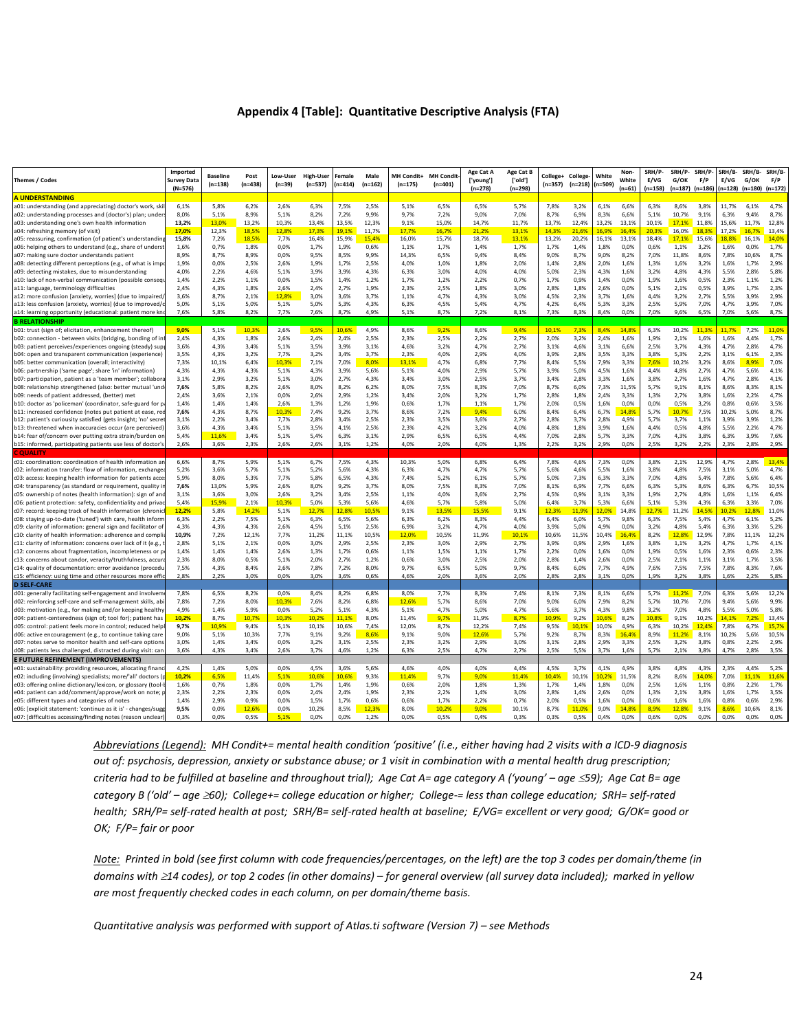#### **Appendix 4 [Table]: Quantitative Descriptive Analysis (FTA)**

| Themes / Codes                                                                                                          | Imported<br><b>Survey Data</b><br>(N=576) | <b>Baseline</b><br>$(n=138)$ | Post<br>$(n=438)$ | Low-User<br>$(n=39)$ | <b>High-User</b><br>$(n=537)$ | Female<br>(n=414) | Male<br>$(n=162)$ | MH Condit+<br>$(n=175)$ | <b>MH Condit</b><br>$(n=401)$ | Age Cat A<br>['young']<br>$(n=278)$ | Age Cat B<br>['old']<br>$(n=298)$ | College+<br>(n=357) | College-<br>(n=218) | White<br>$(n=509)$ | Non-<br>White<br>$(n=61)$ | SRH/P-<br>E/VG<br>(n=158) | SRH/P-<br>G/OK<br>$(n=187)$ $(n=186)$ | SRH/P<br>F/P  | SRH/B-<br>E/VG<br>$(n=128)$ $(n=180)$ | SRH/B-<br>G/OK | SRH/B-<br>F/P<br>$(n=172)$ |
|-------------------------------------------------------------------------------------------------------------------------|-------------------------------------------|------------------------------|-------------------|----------------------|-------------------------------|-------------------|-------------------|-------------------------|-------------------------------|-------------------------------------|-----------------------------------|---------------------|---------------------|--------------------|---------------------------|---------------------------|---------------------------------------|---------------|---------------------------------------|----------------|----------------------------|
| <b>A UNDERSTANDING</b>                                                                                                  |                                           |                              |                   |                      |                               |                   |                   |                         |                               |                                     |                                   |                     |                     |                    |                           |                           |                                       |               |                                       |                |                            |
| a01: understanding (and appreciating) doctor's work, skil                                                               | 6,1%                                      | 5,8%                         | 6,2%              | 2,6%                 | 6,3%                          | 7,5%              | 2,5%              | 5,1%                    | 6,5%                          | 6,5%                                | 5,7%                              | 7,8%                | 3,2%                | 6,1%               | 6,6%                      | 6,3%                      | 8,6%                                  | 3,8%          | 11,7%                                 | 6,1%           | 4,7%                       |
| a02: understanding processes and (doctor's) plan; unders                                                                | 8,0%                                      | 5,1%                         | 8,9%              | 5,1%                 | 8,2%                          | 7,2%              | 9,9%              | 9,7%                    | 7,2%                          | 9,0%                                | 7,0%                              | 8,7%                | 6,9%                | 8,3%               | 6,6%                      | 5,1%                      | 10,7%                                 | 9,1%          | 6,3%                                  | 9,4%           | 8,7%                       |
| a03: understanding one's own health information                                                                         | 13,2%                                     | 13.0%                        | 13,2%             | 10,3%                | 13,4%                         | 13,5%             | 12,3%             | 9,1%                    | 15,0%                         | 14,7%                               | 11,7%                             | 13.7%               | 12,4%               | 13,2%              | 13,1%                     | 10,1%                     | 17,1%                                 | 11,8%         | 15,6%                                 | 11,7%          | 12,8%                      |
| a04: refreshing memory (of visit)                                                                                       | 17,0%                                     | 12,3%                        | 18.5%             | 12,8%                | 17.3%                         | 19.1%             | 11,7%             | 17.7%                   | 16,7%                         | 21.2%                               | 13,1%                             | 14.3%               | 21.69               | 16.9%              | 16.49                     | 20.3%                     | 16.0%                                 | 18.39         | 17,2%                                 |                | 13.4%                      |
| a05: reassuring, confirmation (of patient's understanding                                                               | 15,8%                                     | 7,2%                         | 18,5%             | 7,7%                 | 16,4%                         | 15,9%             | 15,4%             | 16,0%                   | 15,7%                         | 18,7%                               | 13,1%                             | 13,2%               | 20,2%               | 16,1%              | 13,1%                     | 18,4%                     | 17,1%                                 | 15,6%         | 18,8%                                 | 16.1%          | 14,0%                      |
| a06: helping others to understand (e.g., share of underst                                                               | 1,6%                                      | 0,7%                         | 1,8%              | 0,0%                 | 1,7%                          | 1,9%              | 0,6%              | 1,1%                    | 1,7%                          | 1.4%                                | 1,7%                              | 1,7%                | 1,4%                | 1,8%               | 0,0%                      | 0,6%                      | 1,1%                                  | 3,2%          | 1,6%                                  | 0,0%           | 1,7%                       |
| a07: making sure doctor understands patient                                                                             | 8,9%<br>1,9%                              | 8,7%<br>0,0%                 | 8,9%<br>2,5%      | 0.0%<br>2,6%         | 9,5%                          | 8,5%<br>1,7%      | 9,9%<br>2,5%      | 14,3%<br>4,0%           | 6,5%<br>1.0%                  | 9.4%<br>1.8%                        | 8,4%<br>2,0%                      | 9,0%<br>1.4%        | 8,7%<br>2.8%        | 9,0%<br>2,0%       | 8,2%<br>1,6%              | 7,0%<br>1,3%              | 11,8%<br>1,6%                         | 8,6%<br>3.2%  | 7,8%<br>1,6%                          | 10,6%<br>1,7%  | 8,7%<br>2,9%               |
| a08: detecting different perceptions (e.g., of what is impo                                                             |                                           |                              |                   |                      | 1,9%                          | 3,9%              |                   |                         |                               | 4.0%                                |                                   |                     |                     |                    | 1,6%                      |                           |                                       |               | 5,5%                                  | 2,8%           | 5,8%                       |
| a09: detecting mistakes, due to misunderstanding<br>a10: lack of non-verbal communication (possible consequ             | 4,0%<br>1,4%                              | 2,2%<br>2,2%                 | 4,6%<br>1,1%      | 5,1%<br>0,0%         | 3,9%<br>1,5%                  | 1,4%              | 4,3%<br>1,2%      | 6,3%<br>1,7%            | 3,0%<br>1,2%                  | 2,2%                                | 4,0%<br>0,7%                      | 5,0%<br>1,7%        | 2,3%<br>0,9%        | 4,3%<br>1,4%       | 0,0%                      | 3,2%<br>1,9%              | 4,8%<br>1,6%                          | 4,3%<br>0,5%  | 2,3%                                  | 1.1%           | 1,2%                       |
| a11: language, terminology difficulties                                                                                 | 2.4%                                      | 4.3%                         | 1.8%              | 2.6%                 | 2,4%                          | 2.7%              | 1.9%              | 2.3%                    | 2.5%                          | 1.8%                                | 3,0%                              | 2.8%                | 1,8%                | 2,6%               | 0,0%                      | 5.1%                      | 2.1%                                  | 0.5%          | 3.9%                                  | 1.7%           | 2.3%                       |
| a12: more confusion [anxiety, worries] (due to impaired,                                                                | 3,6%                                      | 8,7%                         | 2,1%              | 12,8%                | 3,0%                          | 3,6%              | 3,7%              | 1,1%                    | 4,7%                          | 4,3%                                | 3,0%                              | 4,5%                | 2,3%                | 3,7%               | 1,6%                      | 4,4%                      | 3,2%                                  | 2,7%          | 5,5%                                  | 3,9%           | 2,9%                       |
| a13: less confusion [anxiety, worries] (due to improved/o                                                               | 5,0%                                      | 5,1%                         | 5,0%              | 5,1%                 | 5,0%                          | 5,3%              | 4,3%              | 6,3%                    | 4,5%                          | 5,4%                                | 4,7%                              | 4,2%                | 6,4%                | 5,3%               | 3,3%                      | 2,5%                      | 5,9%                                  | 7,0%          | 4,7%                                  | 3,9%           | 7,0%                       |
| a14: learning opportunity (educational: patient more kn                                                                 | 7,6%                                      | 5,8%                         | 8,2%              | 7,7%                 | 7,6%                          | 8,7%              | 4,9%              | 5,1%                    | 8,7%                          | 7,2%                                | 8,1%                              | 7,3%                | 8,3%                | 8,4%               | 0,0%                      | 7,0%                      | 9,6%                                  | 6,5%          | 7,0%                                  | 5,6%           | 8,7%                       |
| <b>B RELATIONSHIP</b>                                                                                                   |                                           |                              |                   |                      |                               |                   |                   |                         |                               |                                     |                                   |                     |                     |                    |                           |                           |                                       |               |                                       |                |                            |
| b01: trust (sign of; elicitation, enhancement thereof)                                                                  | 9,0%                                      | 5,1%                         | 10,3%             | 2,6%                 | 9,5%                          | 10,6%             | 4,9%              | 8,6%                    | 9,2%                          | 8,6%                                | 9,4%                              | 10,1%               | 7,3%                | 8,4%               | 14,8%                     | 6,3%                      | 10,2%                                 | 11,3%         | 11.7%                                 | 7,2%           | 11,0%                      |
| b02: connection - between visits (bridging, bonding of in                                                               | 2,4%                                      | 4,3%                         | 1,8%              | 2,6%                 | 2,4%                          | 2,4%              | 2,5%              | 2,3%                    | 2,5%                          | 2,2%                                | 2,7%                              | 2,0%                | 3,2%                | 2,4%               | 1,6%                      | 1,9%                      | 2,1%                                  | 1,6%          | 1,6%                                  | 4,4%           | 1,7%                       |
| b03: patient perceives/experiences ongoing (steady) sup                                                                 | 3,6%                                      | 4,3%                         | 3,4%              | 5,1%                 | 3,5%                          | 3,9%              | 3,1%              | 4,6%                    | 3,2%                          | 4.7%                                | 2,7%                              | 3,1%                | 4,6%                | 3,1%               | 6,6%                      | 2,5%                      | 3,7%                                  | 4,3%          | 4,7%                                  | 2,8%           | 4,7%                       |
| b04: open and transparent communication (experience)                                                                    | 3,5%                                      | 4,3%                         | 3,2%              | 7,7%                 | 3,2%                          | 3,4%              | 3,7%              | 2,3%                    | 4,0%                          | 2.9%                                | 4,0%                              | 3,9%                | 2,8%                | 3,5%               | 3,3%                      | 3,8%                      | 5,3%                                  | 2,2%          | 3,1%                                  | 6,1%           | 2,3%                       |
| b05: better communication (overall; interactivity)                                                                      | 7,3%                                      | 10,1%                        | 6,4%              | 10,3%                | 7,1%                          | 7,0%              | 8,0%              | 13,1%                   | 4,7%                          | 6,8%                                | 7,7%                              | 8,4%                | 5,5%                | 7,9%               | 3,3%                      | 7,6%                      | 10,2%                                 | 3,2%          | 8,6%                                  | 8,9%           | 7,0%                       |
| b06: partnership ('same page'; share 'in' information)                                                                  | 4,3%                                      | 4,3%                         | 4,3%              | 5,1%                 | 4,3%                          | 3,9%              | 5,6%              | 5,1%                    | 4,0%                          | 2,9%                                | 5,7%                              | 3,9%                | 5,0%                | 4,5%               | 1,6%                      | 4.4%                      | 4,8%                                  | 2,7%          | 4,7%                                  | 5,6%           | 4,1%                       |
| b07: participation, patient as a 'team member'; collabora                                                               | 3,1%                                      | 2.9%                         | 3,2%              | 5,1%                 | 3,0%                          | 2,7%              | 4,3%              | 3,4%                    | 3,0%                          | 2.5%                                | 3,7%                              | 3,4%                | 2,8%                | 3,3%               | 1,6%                      | 3,8%                      | 2,7%                                  | 1,6%          | 4,7%                                  | 2,8%           | 4,1%                       |
| b08: relationship strengthened (also: better mutual 'und                                                                | 7,6%                                      | 5,8%                         | 8,2%              | 2,6%                 | 8,0%                          | 8,2%              | 6,2%              | 8,0%                    | 7,5%                          | 8,3%                                | 7,0%                              | 8.7%                | 6,0%                | 7,3%               | 11,5%                     | 5,7%                      | 9,1%                                  | 8,1%          | 8,6%                                  | 8,3%           | 8,1%                       |
| b09: needs of patient addressed, (better) met                                                                           | 2,4%                                      | 3,6%                         | 2,1%              | 0.0%                 | 2,6%                          | 2,9%              | 1,2%              | 3.4%                    | 2,0%                          | 3.2%                                | 1,7%                              | 2,8%                | 1,8%                | 2,4%               | 3,3%                      | 1,3%                      | 2,7%                                  | 3,8%          | 1,6%                                  | 2,2%           | 4,7%                       |
| b10: doctor as 'policeman' (coordinator, safe-guard for p                                                               | 1,4%                                      | 1.4%                         | 1,4%              | 2,6%                 | 1,3%                          | 1,2%              | 1,9%              | 0.6%                    | 1,7%                          | 1,1%                                | 1,7%                              | 2,0%                | 0,5%                | 1,6%               | 0,0%                      | 0,0%                      | 0,5%                                  | 3,2%          | 0,8%                                  | 0.6%           | 3,5%                       |
| b11: increased confidence (notes put patient at ease, red                                                               | 7,6%                                      | 4.3%                         | 8,7%              | 10,3%                | 7,4%                          | 9,2%              | 3,7%              | 8,6%                    | 7,2%                          | 9,4%                                | 6,0%                              | 8,4%                | 6,4%                | 6,7%               | 14,8%                     | 5,7%                      | 10,7%                                 | 7,5%          | 10,2%                                 | 5,0%           | 8,7%                       |
| b12: patient's curiousity satisfied (gets insight; 'no' secre                                                           | 3,1%                                      | 2,2%                         | 3,4%              | 7,7%                 | 2,8%                          | 3,4%              | 2,5%              | 2,3%                    | 3,5%                          | 3,6%                                | 2,7%                              | 2,8%                | 3,7%                | 2,8%               | 4,9%                      | 5,7%                      | 3,7%                                  | 1,1%          | 3,9%                                  | 3,9%           | 1,2%                       |
| b13: threatened when inaccuracies occur (are perceived)                                                                 | 3,6%                                      | 4,3%                         | 3,4%              | 5,1%                 | 3,5%                          | 4,1%              | 2,5%              | 2,3%                    | 4,2%                          | 3,2%                                | 4,0%                              | 4,8%                | 1,8%                | 3,9%               | 1,6%                      | 4,4%                      | 0,5%                                  | 4,8%          | 5,5%                                  | 2,2%           | 4,7%                       |
| b14: fear of/concern over putting extra strain/burden or                                                                | 5,4%                                      | 11,6%                        | 3,4%              | 5,1%                 | 5,4%                          | 6,3%              | 3,1%              | 2,9%                    | 6,5%                          | 6,5%                                | 4,4%                              | 7,0%                | 2,8%                | 5,7%               | 3,3%                      | 7,0%                      | 4,3%                                  | 3,8%          | 6,3%                                  | 3,9%           | 7,6%                       |
| b15: informed, participating patients use less of doctor's                                                              | 2,6%                                      | 3,6%                         | 2,3%              | 2,6%                 | 2,6%                          | 3,1%              | 1,2%              | 4,0%                    | 2,0%                          | 4,0%                                | 1,3%                              | 2,2%                | 3,2%                | 2,9%               | 0,0%                      | 2,5%                      | 3,2%                                  | 2,2%          | 2,3%                                  | 2,8%           | 2,9%                       |
| <b>COUAL</b>                                                                                                            |                                           |                              |                   |                      |                               |                   |                   |                         |                               |                                     |                                   |                     |                     |                    |                           |                           |                                       |               |                                       |                |                            |
| c01: coordination: coordination of health information an                                                                | 6,6%                                      | 8,7%                         | 5,9%              | 5,1%                 | 6,7%                          | 7,5%              | 4,3%              | 10,3%                   | 5,0%                          | 6,8%                                | 6,4%                              | 7,8%                | 4,6%                | 7,3%               | 0,0%                      | 3,8%                      | 2,1%                                  | 12,9%         | 4,7%                                  | 2,8%           | 13,4%                      |
| c02: information transfer: flow of information, exchange                                                                | 5,2%                                      | 3,6%                         | 5,7%              | 5,1%                 | 5,2%                          | 5,6%              | 4,3%              | 6,3%                    | 4,7%                          | 4,7%                                | 5,7%                              | 5,6%                | 4,6%                | 5,5%               | 1,6%                      | 3,8%                      | 4,8%                                  | 7,5%          | 3,1%                                  | 5,0%           | 4,7%                       |
| c03: access: keeping health information for patients acce                                                               | 5,9%                                      | 8,0%                         | 5,3%              | 7,7%                 | 5,8%                          | 6,5%              | 4,3%              | 7,4%                    | 5,2%                          | 6.1%                                | 5,7%                              | 5,0%                | 7,3%                | 6,3%               | 3,3%                      | 7,0%                      | 4,8%                                  | 5,4%          | 7,8%                                  | 5,6%           | 6,4%                       |
| c04: transparency (as standard or requirement, quality i                                                                | 7,6%                                      | 13.0%                        | 5.9%              | 2.6%                 | 8,0%                          | 9,2%              | 3.7%              | 8.0%                    | 7,5%                          | 8.3%                                | 7,0%                              | 8,1%                | 6.9%                | 7.7%               | 6.6%                      | 6.3%                      | 5.3%                                  | 8.6%          | 6.3%                                  | 6.7%           | 10,5%                      |
| c05: ownership of notes (health information): sign of and                                                               | 3,1%                                      | 3,6%                         | 3,0%              | 2,6%                 | 3,2%                          | 3,4%              | 2,5%              | 1,1%                    | 4,0%                          | 3,6%                                | 2,7%                              | 4.5%                | 0,9%                | 3,1%               | 3,3%                      | 1,9%                      | 2,7%                                  | 4,8%          | 1,6%                                  | 1,1%           | 6,4%                       |
| c06: patient protection: safety, confidentiality and priva                                                              | 5,4%                                      | 15,9%                        | 2,1%              | 10.3%                | 5,0%                          | 5,3%              | 5,6%              | 4,6%                    | 5,7%                          | 5.8%                                | 5,0%                              | 6,4%                | 3,7%                | 5,3%               | 6,6%                      | 5,1%                      | 5,3%                                  | 4,3%          | 6,3%                                  | 3.3%           | 7,0%                       |
| c07: record: keeping track of health information (chroni                                                                | 12,2%                                     | 5,8%                         | 14.2%             | 5,1%                 | 12,7%                         | 12.8%             | 10.5%             | 9,1%                    | 13.5%                         | 15.5%                               | 9,1%                              | 12.3%               | 11.9%               | 12.0%              | 14,8%                     | 12.7%                     | 11,2%                                 | 14.59         | 10.2%                                 | 12.8%          | 11,0%                      |
| c08: staying up-to-date ('tuned') with care, health inform                                                              | 6,3%                                      | 2,2%                         | 7,5%              | 5,1%                 | 6,3%                          | 6,5%              | 5,6%              | 6,3%                    | 6,2%                          | 8,3%                                | 4,4%                              | 6.4%                | 6,0%                | 5,7%               | 9,8%                      | 6,3%                      | 7,5%                                  | 5,4%          | 4,7%                                  | 6,1%           | 5,2%                       |
| c09: clarity of information: general sign and facilitator of                                                            | 4,3%                                      | 4,3%                         | 4,3%              | 2.6%                 | 4,5%                          | 5,1%              | 2,5%              | 6,9%                    | 3,2%                          | 4,7%                                | 4,0%                              | 3.9%                | 5,0%                | 4,9%               | 0,0%                      | 3,2%                      | 4,8%                                  | 5,4%          | 6,3%                                  | 3.3%<br>11.1%  | 5,2%<br>12.2%              |
| c10: clarity of health information: adherence and compli                                                                | 10,9%                                     | 7,2%                         | 12,1%             | 7,7%                 | 11,2%                         | 11,1%             | 10,5%             | 12,0%                   | 10,5%                         | 11,9%                               | 10,1%                             | 10,6%               | 11,5%               | 10,4%              | 16,4%                     | 8.2%                      | 12,8%                                 | 12,9%         | 7,8%                                  |                |                            |
| c11: clarity of information: concerns over lack of it (e.g.,<br>c12: concerns about fragmentation, incompleteness or p  | 2,8%<br>1,4%                              | 5,1%<br>1,4%                 | 2,1%<br>1,4%      | 0,0%<br>2,6%         | 3,0%<br>1,3%                  | 2,9%<br>1,7%      | 2,5%<br>0,6%      | 2,3%<br>1,1%            | 3,0%<br>1,5%                  | 2,9%<br>1,1%                        | 2,7%<br>1,7%                      | 3,9%<br>2,2%        | 0,9%<br>0,0%        | 2,9%<br>1,6%       | 1,6%<br>0,0%              | 3,8%<br>1,9%              | 1,1%<br>0,5%                          | 3,2%<br>1,6%  | 4,7%<br>2,3%                          | 1,7%<br>0,6%   | 4,1%<br>2,3%               |
|                                                                                                                         | 2,3%                                      | 8,0%                         | 0,5%              | 5,1%                 | 2,0%                          | 2,7%              | 1,2%              | 0,6%                    | 3,0%                          | 2,5%                                | 2,0%                              | 2,8%                | 1,4%                | 2,6%               | 0,0%                      | 2,5%                      | 2,1%                                  | 1,1%          | 3,1%                                  | 1,7%           | 3,5%                       |
| c13: concerns about candor, veracity/truthfulness, accu<br>c14: quality of documentation: error avoidance (procedu      | 7,5%                                      | 4,3%                         | 8,4%              | 2,6%                 | 7,8%                          | 7,2%              | 8,0%              | 9,7%                    | 6,5%                          | 5,0%                                | 9,7%                              | 8.4%                | 6,0%                | 7,7%               | 4,9%                      | 7,6%                      | 7,5%                                  | 7,5%          | 7,8%                                  | 8,3%           | 7,6%                       |
| c15: efficiency: using time and other resources more effic                                                              | 2,8%                                      | 2,2%                         | 3,0%              | 0,0%                 | 3.0%                          | 3.6%              | 0,6%              | 4,6%                    | 2,0%                          | 3,6%                                | 2,0%                              | 2,8%                | 2.8%                | 3.1%               | 0,0%                      | 1.9%                      | 3.2%                                  | 3.8%          | 1,6%                                  | 2.2%           | 5.8%                       |
| <b>D SELF-CARE</b>                                                                                                      |                                           |                              |                   |                      |                               |                   |                   |                         |                               |                                     |                                   |                     |                     |                    |                           |                           |                                       |               |                                       |                |                            |
| d01: generally facilitating self-engagement and involvem                                                                | 7,8%                                      | 6,5%                         | 8,2%              | 0,0%                 | 8,4%                          | 8,2%              | 6,8%              | 8,0%                    | 7,7%                          | 8,3%                                | 7,4%                              | 8,1%                | 7,3%                | 8,1%               | 6,6%                      | 5,7%                      | 11,2%                                 | 7,0%          | 6,3%                                  | 5,6%           | 12,2%                      |
| d02: reinforcing self-care and self-management skills, ab                                                               |                                           |                              |                   |                      |                               |                   | 6,8%              | 12,6%                   | 5,7%                          | 8,6%                                | 7,0%                              | 9,0%                | 6,0%                | 7,9%               | 8,2%                      | 5,7%                      | 10,7%                                 | 7,0%          | 9,4%                                  | 5,6%           | 9,9%                       |
|                                                                                                                         |                                           |                              |                   |                      |                               |                   |                   |                         |                               |                                     |                                   |                     |                     |                    |                           |                           |                                       |               |                                       |                | 5.8%                       |
|                                                                                                                         | 7,8%                                      | 7,2%                         | 8,0%              | 10,3%                | 7,6%                          | 8,2%              |                   |                         |                               |                                     |                                   |                     |                     |                    |                           |                           |                                       |               |                                       |                |                            |
| d03: motivation (e.g., for making and/or keeping healthy                                                                | 4.9%                                      | 1.4%                         | 5.9%              | 0,0%                 | 5,2%                          | 5,1%              | 4,3%              | 5.1%                    | 4,7%                          | 5.0%                                | 4,7%                              | 5.6%                | 3,7%                | 4,3%               | 9.8%                      | 3.2%                      | 7.0%                                  | 4.8%          | 5.5%                                  | 5.0%           |                            |
| d04: patient-centeredness (sign of; tool for); patient has                                                              | 10,2%                                     | 8,7%                         | 10,7%             | 10,3%                | 10,2%                         | 11,1%             | 8,0%              | 11,4%                   | 9,7%                          | 11,9%                               | 8,7%                              | 10.9%               | 9,2%                | 10.6%              | 8,2%                      | 10.8%                     | 9,1%                                  | 10,2%         | 14.1%                                 | 7.2%           | 13,4%                      |
| d05: control: patient feels more in control; reduced help                                                               | 9,7%<br>9.0%                              | 10.9%                        | 9,4%              | 5.1%                 | 10,1%                         | 10,6%             | 7,4%<br>8.6%      | 12,0%                   | 8,7%                          | 12,2%                               | 7,4%                              | 9.5%                | 10,1%               | 10,0%              | 4,9%                      | 6.3%                      | 10,2%                                 | 12.49         | 7,8%                                  | 6.7%           | 15,7%                      |
| d06: active encouragement (e.g., to continue taking care                                                                |                                           | 5,1%                         | 10,3%             | 7,7%                 | 9,1%                          | 9,2%              |                   | 9,1%                    | 9,0%                          | 12,6%                               | 5,7%                              | 9,2%                | 8,7%                | 8,3%               | 16,4%                     | 8,9%                      | 11,2%                                 | 8,1%          | 10,2%                                 | 5,6%           | 10,5%                      |
| d07: notes serve to monitor health and self-care options<br>108: patients less challenged, distracted during visit: can | 3,0%<br>3,6%                              | 1,4%<br>4,3%                 | 3,4%<br>3,4%      | 0,0%<br>2,6%         | 3,2%<br>3,7%                  | 3,1%<br>4,6%      | 2,5%<br>1,2%      | 2,3%<br>6,3%            | 3,2%<br>2,5%                  | 2,9%<br>4,7%                        | 3,0%<br>2,7%                      | 3,1%<br>2,5%        | 2,8%<br>5,5%        | 2,9%<br>3,7%       | 3,3%<br>1,6%              | 2,5%<br>5,7%              | 3,2%<br>2,1%                          | 3,8%<br>3,8%  | 0,8%<br>4,7%                          | 2,2%<br>2,8%   | 2,9%<br>3,5%               |
|                                                                                                                         |                                           |                              |                   |                      |                               |                   |                   |                         |                               |                                     |                                   |                     |                     |                    |                           |                           |                                       |               |                                       |                |                            |
| E FUTURE REFINEMENT (IMPROVEMENTS)                                                                                      |                                           |                              |                   | 0.0%                 |                               |                   |                   |                         |                               |                                     |                                   |                     |                     |                    |                           |                           |                                       |               |                                       |                |                            |
| e01: sustainability: providing resources, allocating finand                                                             | 4,2%                                      | 1,4%                         | 5,0%              |                      | 4,5%<br>10.6%                 | 3,6%<br>10.6%     | 5,6%              | 4,6%<br>11.4%           | 4,0%                          | 4,0%<br>9.0%                        | 4,4%<br>11.4%                     | 4,5%<br>10.4%       | 3,7%                | 4,1%<br>10.2%      | 4,9%                      | 3,8%                      | 4,8%                                  | 4,3%          | 2,3%                                  | 4,4%<br>11.1%  | 5,2%                       |
| e02: including (involving) specialists; more/'all' doctors (                                                            | 10,2%<br>1,6%                             | 6,5%<br>0,7%                 | 11,4%<br>1,8%     | 5,1%<br>0.0%         | 1,7%                          | 1,4%              | 9,3%<br>1,9%      | 0,6%                    | 9,7%<br>2,0%                  | 1,8%                                | 1,3%                              | 1,7%                | 10,1%<br>1,4%       | 1,8%               | 11,5%<br>0,0%             | 8,2%<br>2,5%              | 8,6%<br>1,6%                          | 14,0%<br>1,1% | 7,0%<br>0,8%                          | 2,2%           | 11,6%<br>1,7%              |
| e03: offering online dictionary/lexicon, or glossary (tool-<br>e04: patient can add/comment/approve/work on note; p     | 2,3%                                      | 2,2%                         | 2,3%              | 0.0%                 | 2,4%                          | 2.4%              | 1.9%              | 2,3%                    | 2,2%                          | 1.4%                                | 3,0%                              | 2.8%                | 1,4%                | 2,6%               | 0,0%                      | 1,3%                      | 2,1%                                  | 3,8%          | 1,6%                                  | 1.7%           | 3,5%                       |
| e05: different types and categories of notes                                                                            | 1,4%                                      | 2,9%                         | 0,9%              | 0,0%                 | 1,5%                          | 1,7%              | 0,6%              | 0,6%                    | 1,7%                          | 2,2%                                | 0,7%                              | 2,0%                | 0,5%                | 1,6%               | 0,0%                      | 0,6%                      | 1,6%                                  | 1,6%          | 0,8%                                  | 0,6%           | 2,9%                       |
| e06: [explicit statement: 'continue as it is' - changes/sugg                                                            | 9,5%                                      | 0,0%                         | 12,6%<br>0,5%     | 0,0%                 | 10,2%<br>0,0%                 | 8,5%              | 12,3%             | 8,0%                    | 10,2%                         | 9,0%                                | 10,1%                             | 8.7%                | 11.0%               | 9,0%               | 14,8%                     | 8.9%                      | 12,8%                                 | 9.1%          | 8,6%                                  | 10,6%          | 8,1%                       |

*Abbreviations (Legend): MH Condit+= mental health condition 'positive' (i.e., either having had 2 visits with a ICD-9 diagnosis out of: psychosis, depression, anxiety or substance abuse; or 1 visit in combination with a mental health drug prescription; criteria had to be fulfilled at baseline and throughout trial); Age Cat A= age category A ('young' – age 59); Age Cat B= age category B ('old' – age 60); College+= college education or higher; College-= less than college education; SRH= self-rated health; SRH/P= self-rated health at post; SRH/B= self-rated health at baseline; E/VG= excellent or very good; G/OK= good or OK; F/P= fair or poor*

*Note: Printed in bold (see first column with code frequencies/percentages, on the left) are the top 3 codes per domain/theme (in domains with 14 codes), or top 2 codes (in other domains) – for general overview (all survey data included); marked in yellow are most frequently checked codes in each column, on per domain/theme basis.*

*Quantitative analysis was performed with support of Atlas.ti software (Version 7) – see Methods*